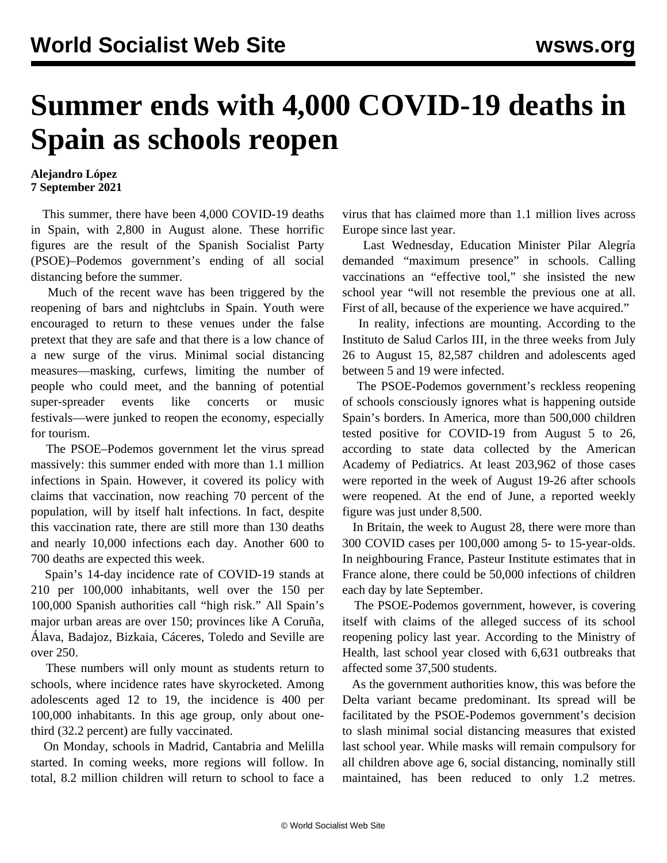## **Summer ends with 4,000 COVID-19 deaths in Spain as schools reopen**

## **Alejandro López 7 September 2021**

 This summer, there have been 4,000 COVID-19 deaths in Spain, with 2,800 in August alone. These horrific figures are the result of the Spanish Socialist Party (PSOE)–Podemos government's ending of all social distancing before the summer.

 Much of the recent wave has been triggered by the reopening of bars and nightclubs in Spain. Youth were encouraged to return to these venues under the false pretext that they are safe and that there is a low chance of a new surge of the virus. Minimal social distancing measures—masking, curfews, limiting the number of people who could meet, and the banning of potential super-spreader events like concerts or music festivals—were junked to reopen the economy, especially for tourism.

 The PSOE–Podemos government let the virus spread massively: this summer ended with more than 1.1 million infections in Spain. However, it covered its policy with claims that vaccination, now reaching 70 percent of the population, will by itself halt infections. In fact, despite this vaccination rate, there are still more than 130 deaths and nearly 10,000 infections each day. Another 600 to 700 deaths are expected this week.

 Spain's 14-day incidence rate of COVID-19 stands at 210 per 100,000 inhabitants, well over the 150 per 100,000 Spanish authorities call "high risk." All Spain's major urban areas are over 150; provinces like A Coruña, Álava, Badajoz, Bizkaia, Cáceres, Toledo and Seville are over 250.

 These numbers will only mount as students return to schools, where incidence rates have skyrocketed. Among adolescents aged 12 to 19, the incidence is 400 per 100,000 inhabitants. In this age group, only about onethird (32.2 percent) are fully vaccinated.

 On Monday, schools in Madrid, Cantabria and Melilla started. In coming weeks, more regions will follow. In total, 8.2 million children will return to school to face a virus that has claimed more than 1.1 million lives across Europe since last year.

 Last Wednesday, Education Minister Pilar Alegría demanded "maximum presence" in schools. Calling vaccinations an "effective tool," she insisted the new school year "will not resemble the previous one at all. First of all, because of the experience we have acquired."

 In reality, infections are mounting. According to the Instituto de Salud Carlos III, in the three weeks from July 26 to August 15, 82,587 children and adolescents aged between 5 and 19 were infected.

 The PSOE-Podemos government's reckless reopening of schools consciously ignores what is happening outside Spain's borders. In America, more than 500,000 children tested positive for COVID-19 from August 5 to 26, according to state data collected by the American Academy of Pediatrics. At least 203,962 of those cases were reported in the week of August 19-26 after schools were reopened. At the end of June, a reported weekly figure was just under 8,500.

 In Britain, the week to August 28, there were more than 300 COVID cases per 100,000 among 5- to 15-year-olds. In neighbouring France, Pasteur Institute estimates that in France alone, there could be 50,000 infections of children each day by late September.

 The PSOE-Podemos government, however, is covering itself with claims of the alleged success of its school reopening policy last year. According to the Ministry of Health, last school year closed with 6,631 outbreaks that affected some 37,500 students.

 As the government authorities know, this was before the Delta variant became predominant. Its spread will be facilitated by the PSOE-Podemos government's decision to slash minimal social distancing measures that existed last school year. While masks will remain compulsory for all children above age 6, social distancing, nominally still maintained, has been reduced to only 1.2 metres.